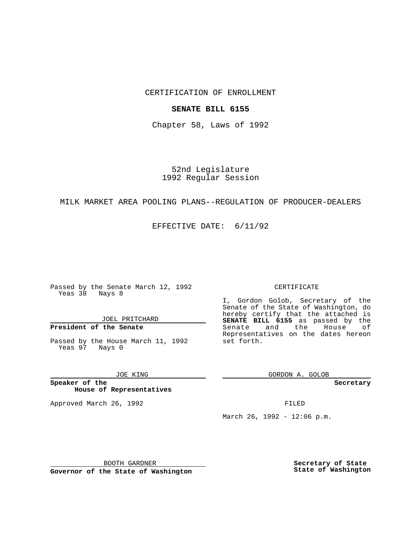# CERTIFICATION OF ENROLLMENT

## **SENATE BILL 6155**

Chapter 58, Laws of 1992

52nd Legislature 1992 Regular Session

## MILK MARKET AREA POOLING PLANS--REGULATION OF PRODUCER-DEALERS

EFFECTIVE DATE: 6/11/92

Passed by the Senate March 12, 1992 Yeas 38 Nays 8

# JOEL PRITCHARD

# **President of the Senate**

Passed by the House March 11, 1992 Yeas 97 Nays 0

#### JOE KING

### **Speaker of the House of Representatives**

Approved March 26, 1992 **FILED** 

#### CERTIFICATE

I, Gordon Golob, Secretary of the Senate of the State of Washington, do hereby certify that the attached is **SENATE BILL 6155** as passed by the Senate and the House of Representatives on the dates hereon set forth.

GORDON A. GOLOB

**Secretary**

March 26, 1992 - 12:06 p.m.

BOOTH GARDNER

**Governor of the State of Washington**

**Secretary of State State of Washington**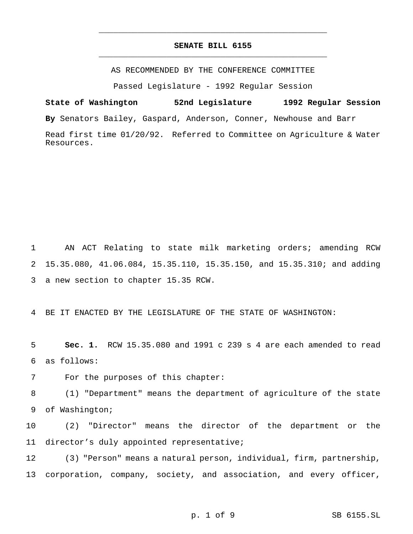# **SENATE BILL 6155** \_\_\_\_\_\_\_\_\_\_\_\_\_\_\_\_\_\_\_\_\_\_\_\_\_\_\_\_\_\_\_\_\_\_\_\_\_\_\_\_\_\_\_\_\_\_\_

\_\_\_\_\_\_\_\_\_\_\_\_\_\_\_\_\_\_\_\_\_\_\_\_\_\_\_\_\_\_\_\_\_\_\_\_\_\_\_\_\_\_\_\_\_\_\_

AS RECOMMENDED BY THE CONFERENCE COMMITTEE

Passed Legislature - 1992 Regular Session

**State of Washington 52nd Legislature 1992 Regular Session By** Senators Bailey, Gaspard, Anderson, Conner, Newhouse and Barr Read first time 01/20/92. Referred to Committee on Agriculture & Water Resources.

1 AN ACT Relating to state milk marketing orders; amending RCW 2 15.35.080, 41.06.084, 15.35.110, 15.35.150, and 15.35.310; and adding 3 a new section to chapter 15.35 RCW.

4 BE IT ENACTED BY THE LEGISLATURE OF THE STATE OF WASHINGTON:

5 **Sec. 1.** RCW 15.35.080 and 1991 c 239 s 4 are each amended to read 6 as follows:

7 For the purposes of this chapter:

8 (1) "Department" means the department of agriculture of the state 9 of Washington;

10 (2) "Director" means the director of the department or the 11 director's duly appointed representative;

12 (3) "Person" means a natural person, individual, firm, partnership, 13 corporation, company, society, and association, and every officer,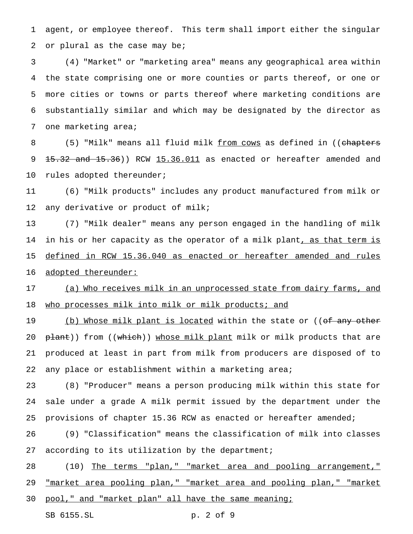1 agent, or employee thereof. This term shall import either the singular 2 or plural as the case may be;

 (4) "Market" or "marketing area" means any geographical area within the state comprising one or more counties or parts thereof, or one or more cities or towns or parts thereof where marketing conditions are substantially similar and which may be designated by the director as 7 one marketing area;

8 (5) "Milk" means all fluid milk <u>from cows</u> as defined in ((chapters 9 15.32 and 15.36)) RCW 15.36.011 as enacted or hereafter amended and 10 rules adopted thereunder;

11 (6) "Milk products" includes any product manufactured from milk or 12 any derivative or product of milk;

13 (7) "Milk dealer" means any person engaged in the handling of milk 14 in his or her capacity as the operator of a milk plant<u>, as that term is</u> 15 defined in RCW 15.36.040 as enacted or hereafter amended and rules 16 adopted thereunder:

17 (a) Who receives milk in an unprocessed state from dairy farms, and 18 who processes milk into milk or milk products; and

19 (b) Whose milk plant is located within the state or ((<del>of any other</del> 20 plant)) from ((which)) whose milk plant milk or milk products that are 21 produced at least in part from milk from producers are disposed of to 22 any place or establishment within a marketing area;

23 (8) "Producer" means a person producing milk within this state for 24 sale under a grade A milk permit issued by the department under the 25 provisions of chapter 15.36 RCW as enacted or hereafter amended;

26 (9) "Classification" means the classification of milk into classes 27 according to its utilization by the department;

28 (10) The terms "plan," "market area and pooling arrangement," 29 "market area pooling plan," "market area and pooling plan," "market 30 pool," and "market plan" all have the same meaning;

SB 6155.SL p. 2 of 9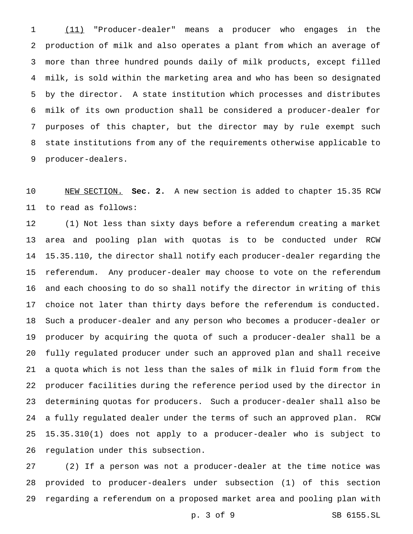(11) "Producer-dealer" means a producer who engages in the production of milk and also operates a plant from which an average of more than three hundred pounds daily of milk products, except filled milk, is sold within the marketing area and who has been so designated by the director. A state institution which processes and distributes milk of its own production shall be considered a producer-dealer for purposes of this chapter, but the director may by rule exempt such state institutions from any of the requirements otherwise applicable to producer-dealers.

 NEW SECTION. **Sec. 2.** A new section is added to chapter 15.35 RCW to read as follows:

 (1) Not less than sixty days before a referendum creating a market area and pooling plan with quotas is to be conducted under RCW 15.35.110, the director shall notify each producer-dealer regarding the referendum. Any producer-dealer may choose to vote on the referendum and each choosing to do so shall notify the director in writing of this choice not later than thirty days before the referendum is conducted. Such a producer-dealer and any person who becomes a producer-dealer or producer by acquiring the quota of such a producer-dealer shall be a fully regulated producer under such an approved plan and shall receive a quota which is not less than the sales of milk in fluid form from the producer facilities during the reference period used by the director in determining quotas for producers. Such a producer-dealer shall also be a fully regulated dealer under the terms of such an approved plan. RCW 15.35.310(1) does not apply to a producer-dealer who is subject to regulation under this subsection.

 (2) If a person was not a producer-dealer at the time notice was provided to producer-dealers under subsection (1) of this section regarding a referendum on a proposed market area and pooling plan with

p. 3 of 9 SB 6155.SL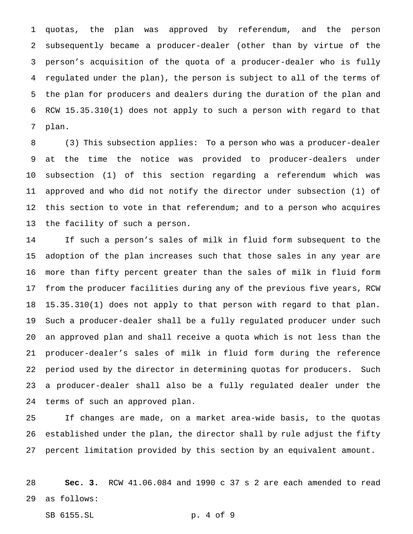quotas, the plan was approved by referendum, and the person subsequently became a producer-dealer (other than by virtue of the person's acquisition of the quota of a producer-dealer who is fully regulated under the plan), the person is subject to all of the terms of the plan for producers and dealers during the duration of the plan and RCW 15.35.310(1) does not apply to such a person with regard to that plan.

 (3) This subsection applies: To a person who was a producer-dealer at the time the notice was provided to producer-dealers under subsection (1) of this section regarding a referendum which was approved and who did not notify the director under subsection (1) of this section to vote in that referendum; and to a person who acquires the facility of such a person.

 If such a person's sales of milk in fluid form subsequent to the adoption of the plan increases such that those sales in any year are more than fifty percent greater than the sales of milk in fluid form from the producer facilities during any of the previous five years, RCW 15.35.310(1) does not apply to that person with regard to that plan. Such a producer-dealer shall be a fully regulated producer under such an approved plan and shall receive a quota which is not less than the producer-dealer's sales of milk in fluid form during the reference period used by the director in determining quotas for producers. Such a producer-dealer shall also be a fully regulated dealer under the terms of such an approved plan.

 If changes are made, on a market area-wide basis, to the quotas established under the plan, the director shall by rule adjust the fifty percent limitation provided by this section by an equivalent amount.

 **Sec. 3.** RCW 41.06.084 and 1990 c 37 s 2 are each amended to read as follows:

SB 6155.SL p. 4 of 9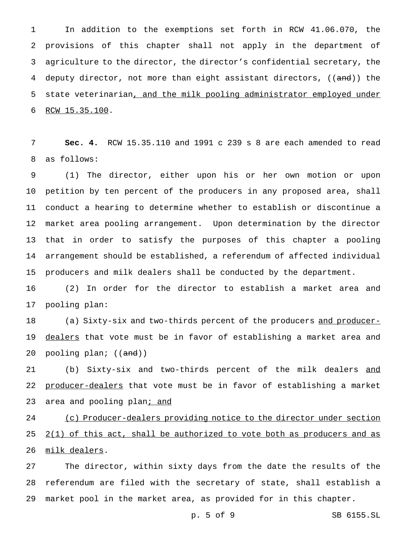In addition to the exemptions set forth in RCW 41.06.070, the provisions of this chapter shall not apply in the department of agriculture to the director, the director's confidential secretary, the 4 deputy director, not more than eight assistant directors, ((and)) the 5 state veterinarian, and the milk pooling administrator employed under RCW 15.35.100.

 **Sec. 4.** RCW 15.35.110 and 1991 c 239 s 8 are each amended to read as follows:

 (1) The director, either upon his or her own motion or upon petition by ten percent of the producers in any proposed area, shall conduct a hearing to determine whether to establish or discontinue a market area pooling arrangement. Upon determination by the director that in order to satisfy the purposes of this chapter a pooling arrangement should be established, a referendum of affected individual producers and milk dealers shall be conducted by the department.

 (2) In order for the director to establish a market area and pooling plan:

18 (a) Sixty-six and two-thirds percent of the producers and producer-19 dealers that vote must be in favor of establishing a market area and 20 pooling plan; ((<del>and</del>))

21 (b) Sixty-six and two-thirds percent of the milk dealers and 22 producer-dealers that vote must be in favor of establishing a market 23 area and pooling plan<sub>j</sub> and

 (c) Producer-dealers providing notice to the director under section  $2(1)$  of this act, shall be authorized to vote both as producers and as milk dealers.

 The director, within sixty days from the date the results of the referendum are filed with the secretary of state, shall establish a market pool in the market area, as provided for in this chapter.

p. 5 of 9 SB 6155.SL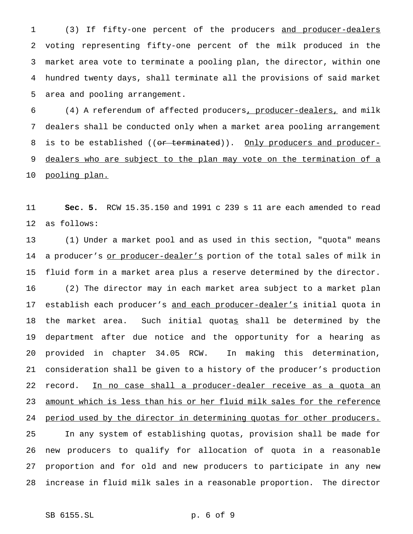(3) If fifty-one percent of the producers and producer-dealers voting representing fifty-one percent of the milk produced in the market area vote to terminate a pooling plan, the director, within one hundred twenty days, shall terminate all the provisions of said market area and pooling arrangement.

 (4) A referendum of affected producers, producer-dealers, and milk dealers shall be conducted only when a market area pooling arrangement 8 is to be established ((or terminated)). Only producers and producer-9 dealers who are subject to the plan may vote on the termination of a 10 <u>pooling plan.</u>

 **Sec. 5.** RCW 15.35.150 and 1991 c 239 s 11 are each amended to read as follows:

 (1) Under a market pool and as used in this section, "quota" means 14 a producer's or producer-dealer's portion of the total sales of milk in fluid form in a market area plus a reserve determined by the director. (2) The director may in each market area subject to a market plan 17 establish each producer's and each producer-dealer's initial quota in 18 the market area. Such initial quotas shall be determined by the department after due notice and the opportunity for a hearing as provided in chapter 34.05 RCW. In making this determination, consideration shall be given to a history of the producer's production 22 record. In no case shall a producer-dealer receive as a quota an 23 amount which is less than his or her fluid milk sales for the reference 24 period used by the director in determining quotas for other producers. In any system of establishing quotas, provision shall be made for new producers to qualify for allocation of quota in a reasonable proportion and for old and new producers to participate in any new increase in fluid milk sales in a reasonable proportion. The director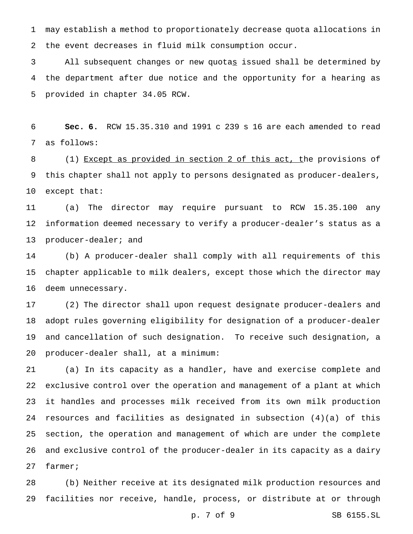may establish a method to proportionately decrease quota allocations in the event decreases in fluid milk consumption occur.

 All subsequent changes or new quotas issued shall be determined by the department after due notice and the opportunity for a hearing as provided in chapter 34.05 RCW.

 **Sec. 6.** RCW 15.35.310 and 1991 c 239 s 16 are each amended to read as follows:

8 (1) Except as provided in section 2 of this act, the provisions of this chapter shall not apply to persons designated as producer-dealers, except that:

 (a) The director may require pursuant to RCW 15.35.100 any information deemed necessary to verify a producer-dealer's status as a 13 producer-dealer; and

 (b) A producer-dealer shall comply with all requirements of this chapter applicable to milk dealers, except those which the director may deem unnecessary.

 (2) The director shall upon request designate producer-dealers and adopt rules governing eligibility for designation of a producer-dealer and cancellation of such designation. To receive such designation, a producer-dealer shall, at a minimum:

 (a) In its capacity as a handler, have and exercise complete and exclusive control over the operation and management of a plant at which it handles and processes milk received from its own milk production resources and facilities as designated in subsection (4)(a) of this section, the operation and management of which are under the complete and exclusive control of the producer-dealer in its capacity as a dairy farmer;

 (b) Neither receive at its designated milk production resources and facilities nor receive, handle, process, or distribute at or through

p. 7 of 9 SB 6155.SL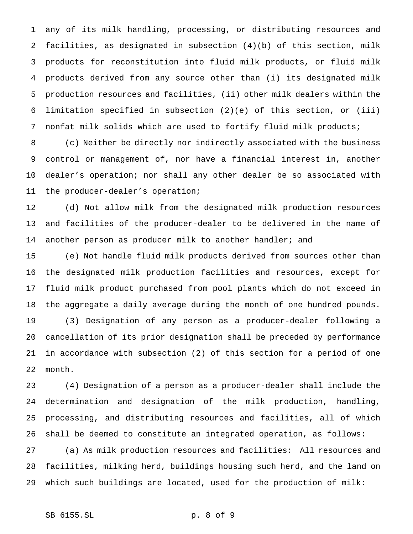any of its milk handling, processing, or distributing resources and facilities, as designated in subsection (4)(b) of this section, milk products for reconstitution into fluid milk products, or fluid milk products derived from any source other than (i) its designated milk production resources and facilities, (ii) other milk dealers within the limitation specified in subsection (2)(e) of this section, or (iii) nonfat milk solids which are used to fortify fluid milk products;

 (c) Neither be directly nor indirectly associated with the business control or management of, nor have a financial interest in, another dealer's operation; nor shall any other dealer be so associated with the producer-dealer's operation;

 (d) Not allow milk from the designated milk production resources and facilities of the producer-dealer to be delivered in the name of 14 another person as producer milk to another handler; and

 (e) Not handle fluid milk products derived from sources other than the designated milk production facilities and resources, except for fluid milk product purchased from pool plants which do not exceed in the aggregate a daily average during the month of one hundred pounds.

 (3) Designation of any person as a producer-dealer following a cancellation of its prior designation shall be preceded by performance in accordance with subsection (2) of this section for a period of one month.

 (4) Designation of a person as a producer-dealer shall include the determination and designation of the milk production, handling, processing, and distributing resources and facilities, all of which shall be deemed to constitute an integrated operation, as follows:

 (a) As milk production resources and facilities: All resources and facilities, milking herd, buildings housing such herd, and the land on which such buildings are located, used for the production of milk: